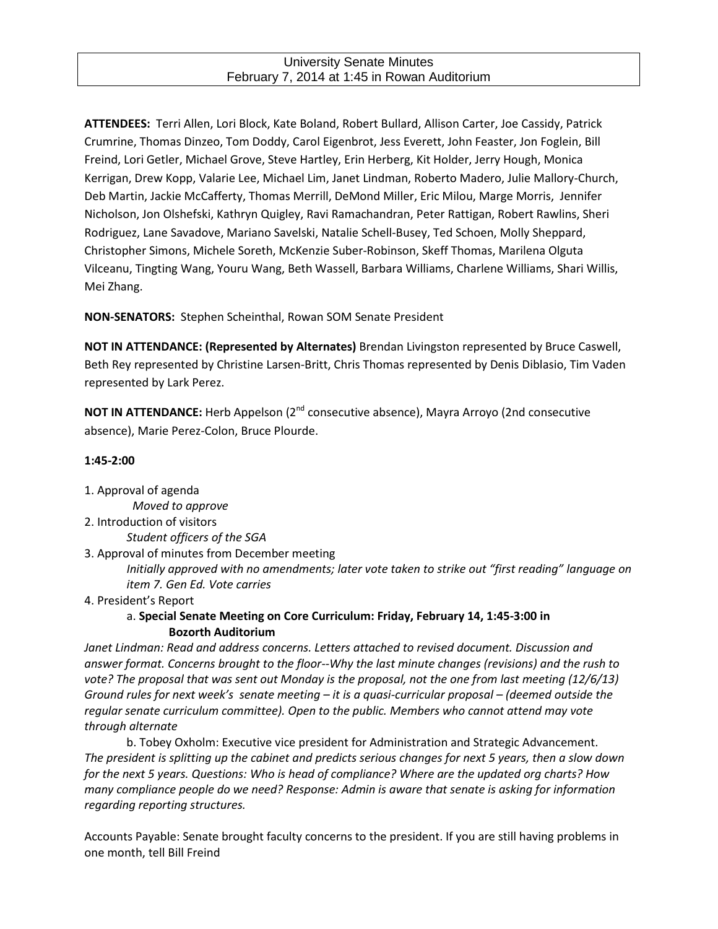### University Senate Minutes February 7, 2014 at 1:45 in Rowan Auditorium

**ATTENDEES:** Terri Allen, Lori Block, Kate Boland, Robert Bullard, Allison Carter, Joe Cassidy, Patrick Crumrine, Thomas Dinzeo, Tom Doddy, Carol Eigenbrot, Jess Everett, John Feaster, Jon Foglein, Bill Freind, Lori Getler, Michael Grove, Steve Hartley, Erin Herberg, Kit Holder, Jerry Hough, Monica Kerrigan, Drew Kopp, Valarie Lee, Michael Lim, Janet Lindman, Roberto Madero, Julie Mallory-Church, Deb Martin, Jackie McCafferty, Thomas Merrill, DeMond Miller, Eric Milou, Marge Morris, Jennifer Nicholson, Jon Olshefski, Kathryn Quigley, Ravi Ramachandran, Peter Rattigan, Robert Rawlins, Sheri Rodriguez, Lane Savadove, Mariano Savelski, Natalie Schell-Busey, Ted Schoen, Molly Sheppard, Christopher Simons, Michele Soreth, McKenzie Suber-Robinson, Skeff Thomas, Marilena Olguta Vilceanu, Tingting Wang, Youru Wang, Beth Wassell, Barbara Williams, Charlene Williams, Shari Willis, Mei Zhang.

**NON-SENATORS:** Stephen Scheinthal, Rowan SOM Senate President

**NOT IN ATTENDANCE: (Represented by Alternates)** Brendan Livingston represented by Bruce Caswell, Beth Rey represented by Christine Larsen-Britt, Chris Thomas represented by Denis Diblasio, Tim Vaden represented by Lark Perez.

**NOT IN ATTENDANCE:** Herb Appelson (2<sup>nd</sup> consecutive absence), Mayra Arroyo (2nd consecutive absence), Marie Perez-Colon, Bruce Plourde.

### **1:45-2:00**

1. Approval of agenda

*Moved to approve*

2. Introduction of visitors

*Student officers of the SGA* 

- 3. Approval of minutes from December meeting *Initially approved with no amendments; later vote taken to strike out "first reading" language on item 7. Gen Ed. Vote carries*
- 4. President's Report

# a. **Special Senate Meeting on Core Curriculum: Friday, February 14, 1:45-3:00 in Bozorth Auditorium**

*Janet Lindman: Read and address concerns. Letters attached to revised document. Discussion and answer format. Concerns brought to the floor--Why the last minute changes (revisions) and the rush to vote? The proposal that was sent out Monday is the proposal, not the one from last meeting (12/6/13) Ground rules for next week's senate meeting – it is a quasi-curricular proposal – (deemed outside the regular senate curriculum committee). Open to the public. Members who cannot attend may vote through alternate*

b. Tobey Oxholm: Executive vice president for Administration and Strategic Advancement. *The president is splitting up the cabinet and predicts serious changes for next 5 years, then a slow down for the next 5 years. Questions: Who is head of compliance? Where are the updated org charts? How many compliance people do we need? Response: Admin is aware that senate is asking for information regarding reporting structures.* 

Accounts Payable: Senate brought faculty concerns to the president. If you are still having problems in one month, tell Bill Freind